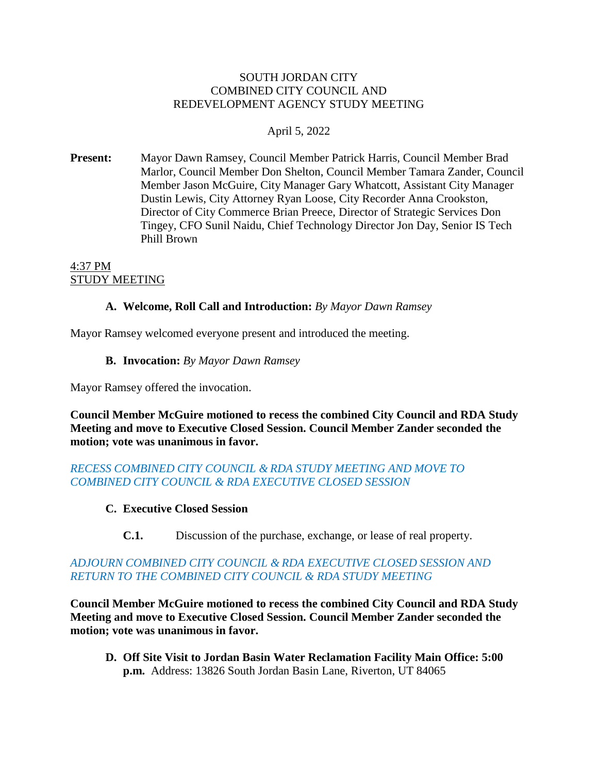#### SOUTH JORDAN CITY COMBINED CITY COUNCIL AND REDEVELOPMENT AGENCY STUDY MEETING

## April 5, 2022

**Present:** Mayor Dawn Ramsey, Council Member Patrick Harris, Council Member Brad Marlor, Council Member Don Shelton, Council Member Tamara Zander, Council Member Jason McGuire, City Manager Gary Whatcott, Assistant City Manager Dustin Lewis, City Attorney Ryan Loose, City Recorder Anna Crookston, Director of City Commerce Brian Preece, Director of Strategic Services Don Tingey, CFO Sunil Naidu, Chief Technology Director Jon Day, Senior IS Tech Phill Brown

#### 4:37 PM STUDY MEETING

### **A. Welcome, Roll Call and Introduction:** *By Mayor Dawn Ramsey*

Mayor Ramsey welcomed everyone present and introduced the meeting.

**B. Invocation:** *By Mayor Dawn Ramsey*

Mayor Ramsey offered the invocation.

**Council Member McGuire motioned to recess the combined City Council and RDA Study Meeting and move to Executive Closed Session. Council Member Zander seconded the motion; vote was unanimous in favor.**

### *RECESS COMBINED CITY COUNCIL & RDA STUDY MEETING AND MOVE TO COMBINED CITY COUNCIL & RDA EXECUTIVE CLOSED SESSION*

#### **C. Executive Closed Session**

**C.1.** Discussion of the purchase, exchange, or lease of real property.

### *ADJOURN COMBINED CITY COUNCIL & RDA EXECUTIVE CLOSED SESSION AND RETURN TO THE COMBINED CITY COUNCIL & RDA STUDY MEETING*

**Council Member McGuire motioned to recess the combined City Council and RDA Study Meeting and move to Executive Closed Session. Council Member Zander seconded the motion; vote was unanimous in favor.**

**D. Off Site Visit to Jordan Basin Water Reclamation Facility Main Office: 5:00 p.m.** Address: 13826 South Jordan Basin Lane, Riverton, UT 84065